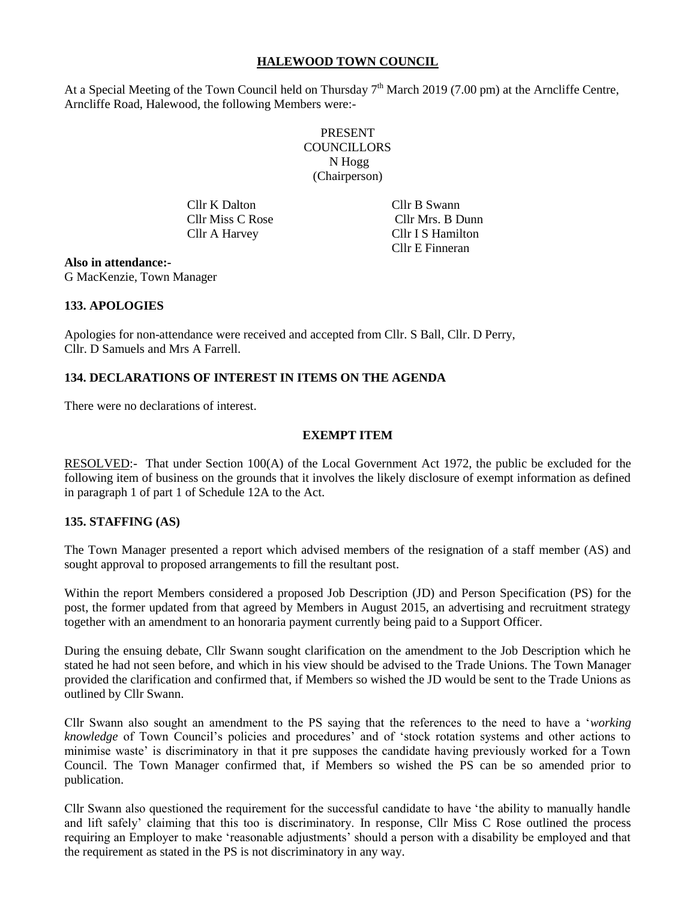## **HALEWOOD TOWN COUNCIL**

At a Special Meeting of the Town Council held on Thursday  $7<sup>th</sup>$  March 2019 (7.00 pm) at the Arncliffe Centre, Arncliffe Road, Halewood, the following Members were:-

> PRESENT **COUNCILLORS** N Hogg (Chairperson)

Cllr K Dalton Cllr B Swann

 Cllr Miss C Rose Cllr Mrs. B Dunn Cllr A Harvey Cllr I S Hamilton Cllr E Finneran

**Also in attendance:-** G MacKenzie, Town Manager

## **133. APOLOGIES**

Apologies for non-attendance were received and accepted from Cllr. S Ball, Cllr. D Perry, Cllr. D Samuels and Mrs A Farrell.

# **134. DECLARATIONS OF INTEREST IN ITEMS ON THE AGENDA**

There were no declarations of interest.

## **EXEMPT ITEM**

RESOLVED:- That under Section 100(A) of the Local Government Act 1972, the public be excluded for the following item of business on the grounds that it involves the likely disclosure of exempt information as defined in paragraph 1 of part 1 of Schedule 12A to the Act.

#### **135. STAFFING (AS)**

The Town Manager presented a report which advised members of the resignation of a staff member (AS) and sought approval to proposed arrangements to fill the resultant post.

Within the report Members considered a proposed Job Description (JD) and Person Specification (PS) for the post, the former updated from that agreed by Members in August 2015, an advertising and recruitment strategy together with an amendment to an honoraria payment currently being paid to a Support Officer.

During the ensuing debate, Cllr Swann sought clarification on the amendment to the Job Description which he stated he had not seen before, and which in his view should be advised to the Trade Unions. The Town Manager provided the clarification and confirmed that, if Members so wished the JD would be sent to the Trade Unions as outlined by Cllr Swann.

Cllr Swann also sought an amendment to the PS saying that the references to the need to have a '*working knowledge* of Town Council's policies and procedures' and of 'stock rotation systems and other actions to minimise waste' is discriminatory in that it pre supposes the candidate having previously worked for a Town Council. The Town Manager confirmed that, if Members so wished the PS can be so amended prior to publication.

Cllr Swann also questioned the requirement for the successful candidate to have 'the ability to manually handle and lift safely' claiming that this too is discriminatory. In response, Cllr Miss C Rose outlined the process requiring an Employer to make 'reasonable adjustments' should a person with a disability be employed and that the requirement as stated in the PS is not discriminatory in any way.